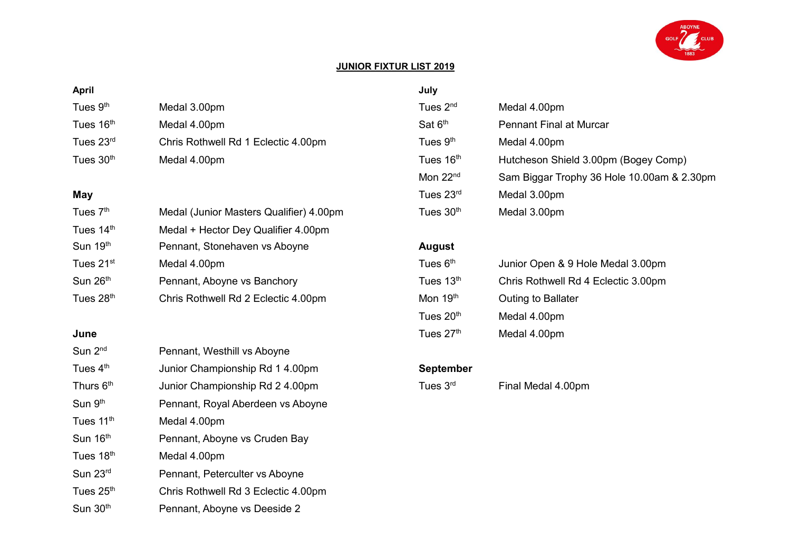

### **JUNIOR FIXTUR LIST 2019**

### **April July**

| Tues 9 <sup>th</sup>   | Medal 3.00pm                        | Tues $2nd$            | Medal 4.00pm                   |
|------------------------|-------------------------------------|-----------------------|--------------------------------|
| Tues 16 <sup>th</sup>  | Medal 4.00pm                        | Sat $6th$             | <b>Pennant Final at Murcar</b> |
| Tues 23 $^{\text{rd}}$ | Chris Rothwell Rd 1 Eclectic 4.00pm | Tues 9 <sup>th</sup>  | Medal 4.00pm                   |
| Tues $30th$            | Medal 4.00pm                        | Tues 16 $^{\rm th}$ . | Hutcheson Shield 3.00p         |

| Tues $7th$<br>Tues 30 <sup>th</sup><br>Medal (Junior Masters Qualifier) 4.00pm | Medal 3.00pm                        |
|--------------------------------------------------------------------------------|-------------------------------------|
| Tues 14th<br>Medal + Hector Dey Qualifier 4.00pm                               |                                     |
| Sun 19 <sup>th</sup><br>Pennant, Stonehaven vs Aboyne<br>August                |                                     |
| Tues $6th$<br>Tues 21 <sup>st</sup><br>Medal 4.00pm                            | Junior Open & 9 Hole Medal 3.00pm   |
| Sun 26 <sup>th</sup><br>Tues $13th$<br>Pennant, Aboyne vs Banchory             | Chris Rothwell Rd 4 Eclectic 3.00pm |
| Mon $19th$<br>Tues 28 <sup>th</sup><br>Chris Rothwell Rd 2 Eclectic 4.00pm     | Outing to Ballater                  |

| Sun 2 <sup>nd</sup>   | Pennant, Westhill vs Aboyne         |               |
|-----------------------|-------------------------------------|---------------|
| Tues $4th$            | Junior Championship Rd 1 4.00pm     | <b>Septem</b> |
| Thurs 6 <sup>th</sup> | Junior Championship Rd 2 4.00pm     | Tues 3rd      |
| Sun 9 <sup>th</sup>   | Pennant, Royal Aberdeen vs Aboyne   |               |
| Tues 11 <sup>th</sup> | Medal 4.00pm                        |               |
| Sun 16th              | Pennant, Aboyne vs Cruden Bay       |               |
| Tues 18th             | Medal 4.00pm                        |               |
| Sun 23rd              | Pennant, Peterculter vs Aboyne      |               |
| Tues 25 <sup>th</sup> | Chris Rothwell Rd 3 Eclectic 4.00pm |               |
| Sun 30 <sup>th</sup>  | Pennant, Aboyne vs Deeside 2        |               |

| Tues 9 <sup>th</sup>  | Medal 3.00pm                            | Tues $2nd$            | Medal 4.00pm                               |
|-----------------------|-----------------------------------------|-----------------------|--------------------------------------------|
| Tues 16 <sup>th</sup> | Medal 4.00pm                            | Sat $6th$             | <b>Pennant Final at Murcar</b>             |
| Tues 23 $rd$          | Chris Rothwell Rd 1 Eclectic 4.00pm     | Tues 9 <sup>th</sup>  | Medal 4.00pm                               |
| Tues $30th$           | Medal 4.00pm                            | Tues 16 <sup>th</sup> | Hutcheson Shield 3.00pm (Bogey Comp)       |
|                       |                                         | Mon 22 <sup>nd</sup>  | Sam Biggar Trophy 36 Hole 10.00am & 2.30pm |
| May                   |                                         | Tues 23rd             | Medal 3.00pm                               |
| Tues 7 <sup>th</sup>  | Medal (Junior Masters Qualifier) 4.00pm | Tues 30 <sup>th</sup> | Medal 3.00pm                               |
|                       |                                         |                       |                                            |

## **August**

| Tues 21 $^{\rm st}$   | Medal 4.00pm                        | Tues $6th$  | Junior Open & 9 Hole Medal 3.00pm   |
|-----------------------|-------------------------------------|-------------|-------------------------------------|
| Sun 26 <sup>th</sup>  | Pennant, Aboyne vs Banchory         | Tues $13th$ | Chris Rothwell Rd 4 Eclectic 3.00pm |
| Tues 28 <sup>th</sup> | Chris Rothwell Rd 2 Eclectic 4.00pm | Mon $19th$  | Outing to Ballater                  |
|                       |                                     | Tues $20th$ | Medal 4.00pm                        |
| June                  |                                     | Tues $27th$ | Medal 4.00pm                        |

# September

Final Medal 4.00pm